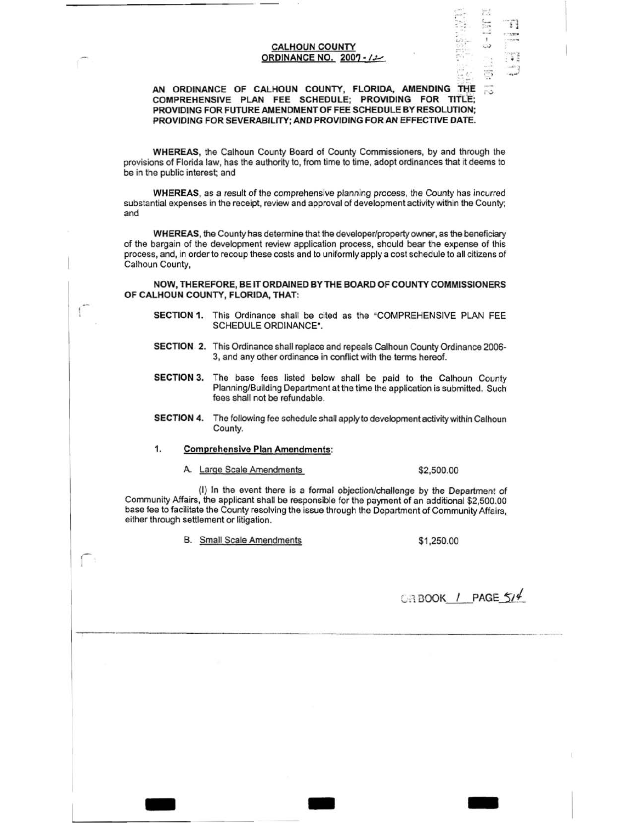## CALHOUN COUNTY ORDINANCE NO. 2007

# AN ORDINANCE OF CALHOUN COUNTY, FLORIDA, AMENDING THE COMPREHENSIVE PLAN FEE SCHEDULE; PROVIDING FOR TITlE; PROVIDING FOR FUTURE AMENDMENT OF FEE SCHEDULE BY RESOLUTION; PROVIDING FOR SEVERABILITY; AND PROVIDING FORAN EFFECTIVE DATE.

WHEREAS, the Calhoun County Board of County Commissioners, by and through the provisions of Florida law, has the authority to, from time to time, adopt ordinances that it deems to be in the public interest; and

WHEREAS, as a result of the comprehensive planning process, the County has incurred substantial expenses in the receipt, review and approval of development activity within the County; and

WHEREAS, the County has determine that the developer/property owner, as the beneficiary of the bargain of the development review application process, should bear the expense of this process, and, in order to recoup these costs and to uniformly apply a cost schedule to all citizens of Calhoun County,

NOW, THEREFORE, BE IT ORDAINED BY THE BOARD OF COUNTY COMMISSIONERS OF CALHOUN COUNTY, FLORIDA, THAT:

- SECTION 1. This Ordinance shall be cited as the "COMPREHENSIVE PLAN FEE SCHEDULE ORDINANCE".
- SECTION. 2. This Ordinance shall replace and repeals Calhoun County Ordinance 2006- 3, and any other ordinance in conflict with the terms hereof.
- SECTION 3. The base fees listed below shall be paid to the Calhoun County Planning/Building Department at the time the application is submitted. Such fees shall not be refundable.
- SECTION 4. The following fee schedule shall apply to development activity within Calhoun County.

#### 1. Comprehensive Plan Amendments:

A. Large Scale Amendments \$2,500.00

ſ.

 $\overline{\epsilon}$ .  $\mathcal{L}$ ...... • ·: • *<sup>4</sup>*

I ..)  $\frac{1}{\sqrt{2}}$ 

(I) In the event there is a formal objection/challenge by the Department of Community Affairs, the applicant shall be responsible for the payment of an additional \$2,500.00 base fee to facilitate the County resolving the issue through the Department of Community Affairs, either through settlement or litigation.

- - -

B. Small Scale Amendments \$1,250.00

 $C \cap B$ OOK / PAGE  $5/4$